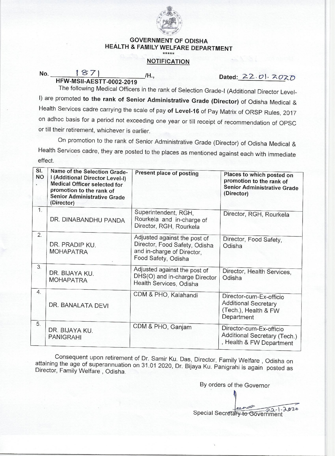

## **GOVERNMENT OF ODISHA HEALTH & FAMILY WELFARE DEPARTMENT**

## **NOTIFICATION**

**No.**  $\frac{187}{45002-2019}$  /H., Dated: 22.*0*). 2020

The following Medical Officers in the rank of Selection Grade-I (Additional Director Level-I) are promoted **to the rank of Senior Administrative Grade (Director)** of Odisha Medical & Health Services cadre carrying the scale of pay **of Level-16** of Pay Matrix of ORSP Rules, 2017 on adhoc basis for a period not exceeding one year or till receipt of recommendation of OPSC or till their retirement, whichever is earlier.

On promotion to the rank of Senior Administrative Grade (Director) of Odisha Medical & Health Services cadre, they are posted to the places as mentioned against each with immediate effect.

| SI.<br><b>NO</b><br>¥. | Name of the Selection Grade-<br>I (Additional Director Level-I)<br><b>Medical Officer selected for</b><br>promotion to the rank of<br><b>Senior Administrative Grade</b><br>(Director) | Present place of posting                                                                                           | Places to which posted on<br>promotion to the rank of<br><b>Senior Administrative Grade</b><br>(Director) |
|------------------------|----------------------------------------------------------------------------------------------------------------------------------------------------------------------------------------|--------------------------------------------------------------------------------------------------------------------|-----------------------------------------------------------------------------------------------------------|
| 1.                     | DR. DINABANDHU PANDA                                                                                                                                                                   | Superintendent, RGH,<br>Rourkela and in-charge of<br>Director, RGH, Rourkela                                       | Director, RGH, Rourkela                                                                                   |
| 2.                     | DR. PRADIP KU.<br><b>MOHAPATRA</b>                                                                                                                                                     | Adjusted against the post of<br>Director, Food Safety, Odisha<br>and in-charge of Director,<br>Food Safety, Odisha | Director, Food Safety,<br>Odisha                                                                          |
| 3.                     | DR. BIJAYA KU.<br><b>MOHAPATRA</b>                                                                                                                                                     | Adjusted against the post of<br>DHS(O) and in-charge Director<br>Health Services, Odisha                           | Director, Health Services,<br>Odisha                                                                      |
| 4.                     | DR. BANALATA DEVI                                                                                                                                                                      | CDM & PHO, Kalahandi                                                                                               | Director-cum-Ex-officio<br><b>Additional Secretary</b><br>(Tech.), Health & FW<br>Department              |
| 5.                     | DR. BIJAYA KU.<br><b>PANIGRAHI</b>                                                                                                                                                     | CDM & PHO, Ganjam                                                                                                  | Director-cum-Ex-officio<br>Additional Secretary (Tech.)<br>, Health & FW Department                       |

Consequent upon retirement of Dr. Samir Ku. Das, Director, Family Welfare , Odisha on attaining the age of superannuation on 31.01 2020, Dr. Bijaya Ku. Panigrahi is again posted as Director, Family Welfare , Odisha.

By orders of the Governor

Special Secretary to Government